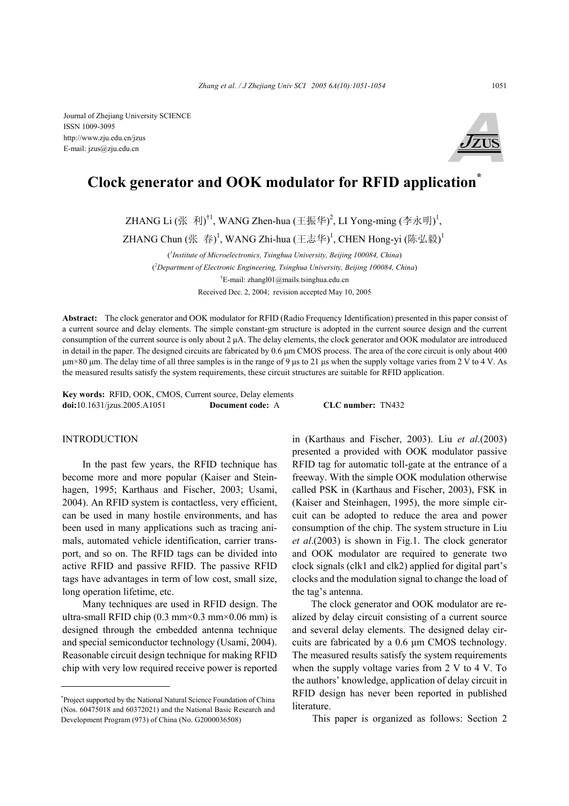

# **Clock generator and OOK modulator for RFID application\***

ZHANG Li (张 利)<sup>†1</sup>, WANG Zhen-hua (王振华)<sup>2</sup>, LI Yong-ming (李永明)<sup>1</sup>,

ZHANG Chun (张 春) ,WANG Zhi-hua (王志华) ,CHEN Hong-yi (陈弘毅)  $^1$ 

( *1 Institute of Microelectronics, Tsinghua University, Beijing 100084, China*) ( *2 Department of Electronic Engineering, Tsinghua University, Beijing 100084, China*) † E-mail: zhangl01@mails.tsinghua.edu.cn Received Dec. 2, 2004; revision accepted May 10, 2005

**Abstract:** The clock generator and OOK modulator for RFID (Radio Frequency Identification) presented in this paper consist of a current source and delay elements. The simple constant-gm structure is adopted in the current source design and the current consumption of the current source is only about 2 µA. The delay elements, the clock generator and OOK modulator are introduced in detail in the paper. The designed circuits are fabricated by 0.6 µm CMOS process. The area of the core circuit is only about 400  $\mu$ m×80  $\mu$ m. The delay time of all three samples is in the range of 9  $\mu$ s to 21  $\mu$ s when the supply voltage varies from 2 V to 4 V. As the measured results satisfy the system requirements, these circuit structures are suitable for RFID application.

**Key words:** RFID, OOK, CMOS, Current source, Delay elements **doi:**10.1631/jzus.2005.A1051 **Document code:** A **CLC number:** TN432

### **INTRODUCTION**

In the past few years, the RFID technique has become more and more popular (Kaiser and Steinhagen, 1995; Karthaus and Fischer, 2003; Usami, 2004). An RFID system is contactless, very efficient, can be used in many hostile environments, and has been used in many applications such as tracing animals, automated vehicle identification, carrier transport, and so on. The RFID tags can be divided into active RFID and passive RFID. The passive RFID tags have advantages in term of low cost, small size, long operation lifetime, etc.

Many techniques are used in RFID design. The ultra-small RFID chip  $(0.3 \text{ mm} \times 0.3 \text{ mm} \times 0.06 \text{ mm})$  is designed through the embedded antenna technique and special semiconductor technology (Usami, 2004). Reasonable circuit design technique for making RFID chip with very low required receive power is reported

in (Karthaus and Fischer, 2003). Liu *et al*.(2003) presented a provided with OOK modulator passive RFID tag for automatic toll-gate at the entrance of a freeway. With the simple OOK modulation otherwise called PSK in (Karthaus and Fischer, 2003), FSK in (Kaiser and Steinhagen, 1995), the more simple circuit can be adopted to reduce the area and power consumption of the chip. The system structure in Liu *et al*.(2003) is shown in Fig.1. The clock generator and OOK modulator are required to generate two clock signals (clk1 and clk2) applied for digital part's clocks and the modulation signal to change the load of the tag's antenna.

The clock generator and OOK modulator are realized by delay circuit consisting of a current source and several delay elements. The designed delay circuits are fabricated by a 0.6 µm CMOS technology. The measured results satisfy the system requirements when the supply voltage varies from 2 V to 4 V. To the authors' knowledge, application of delay circuit in RFID design has never been reported in published literature.

This paper is organized as follows: Section 2

<sup>\*</sup> Project supported by the National Natural Science Foundation of China (Nos. 60475018 and 60372021) and the National Basic Research and Development Program (973) of China (No. G2000036508)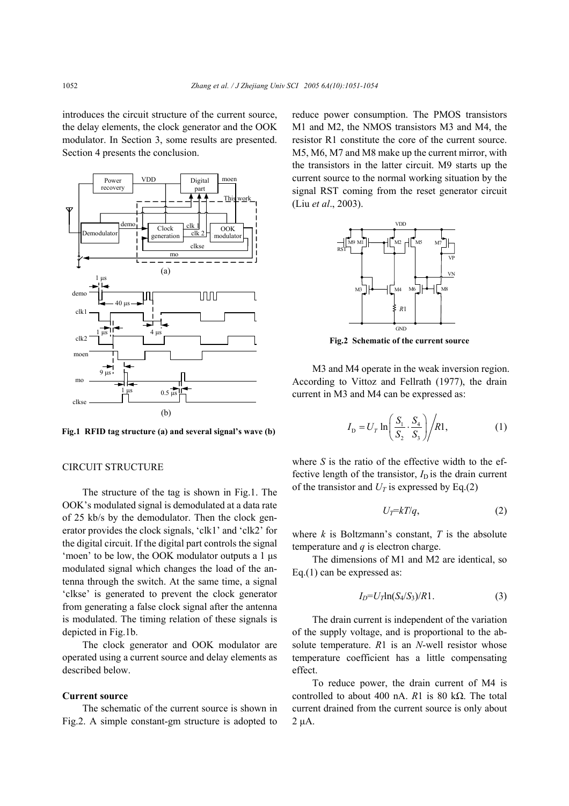introduces the circuit structure of the current source, the delay elements, the clock generator and the OOK modulator. In Section 3, some results are presented. Section 4 presents the conclusion.



**Fig.1 RFID tag structure (a) and several signal's wave (b)** 

## CIRCUIT STRUCTURE

The structure of the tag is shown in Fig.1. The OOK's modulated signal is demodulated at a data rate of 25 kb/s by the demodulator. Then the clock generator provides the clock signals, 'clk1' and 'clk2' for the digital circuit. If the digital part controls the signal 'moen' to be low, the OOK modulator outputs a 1 µs modulated signal which changes the load of the antenna through the switch. At the same time, a signal 'clkse' is generated to prevent the clock generator from generating a false clock signal after the antenna is modulated. The timing relation of these signals is depicted in Fig.1b.

The clock generator and OOK modulator are operated using a current source and delay elements as described below.

#### **Current source**

The schematic of the current source is shown in Fig.2. A simple constant-gm structure is adopted to

reduce power consumption. The PMOS transistors M1 and M2, the NMOS transistors M3 and M4, the resistor R1 constitute the core of the current source. M5, M6, M7 and M8 make up the current mirror, with the transistors in the latter circuit. M9 starts up the current source to the normal working situation by the signal RST coming from the reset generator circuit (Liu *et al*., 2003).



**Fig.2 Schematic of the current source**

M3 and M4 operate in the weak inversion region. According to Vittoz and Fellrath (1977), the drain current in M3 and M4 can be expressed as:

$$
I_{\rm D} = U_{\rm T} \ln \left( \frac{S_1}{S_2} \cdot \frac{S_4}{S_3} \right) / R1, \tag{1}
$$

where  $S$  is the ratio of the effective width to the effective length of the transistor,  $I_D$  is the drain current of the transistor and  $U_T$  is expressed by Eq.(2)

$$
U_T = kT/q, \qquad (2)
$$

where  $k$  is Boltzmann's constant,  $T$  is the absolute temperature and *q* is electron charge.

The dimensions of M1 and M2 are identical, so Eq.(1) can be expressed as:

$$
I_D = U_T \ln(S_4/S_3)/R1. \tag{3}
$$

The drain current is independent of the variation of the supply voltage, and is proportional to the absolute temperature. *R*1 is an *N*-well resistor whose temperature coefficient has a little compensating effect.

To reduce power, the drain current of M4 is controlled to about 400 nA. *R*1 is 80 kΩ. The total current drained from the current source is only about  $2 \mu A$ .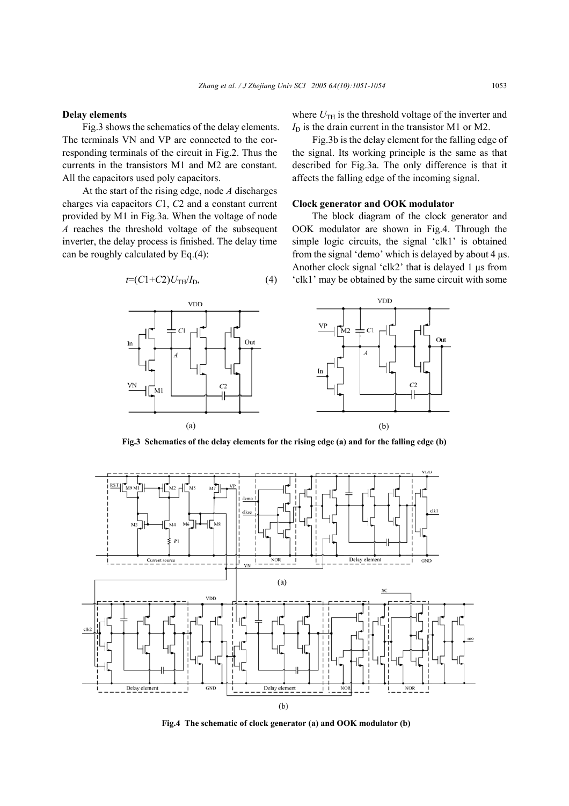#### **Delay elements**

Fig.3 shows the schematics of the delay elements. The terminals VN and VP are connected to the corresponding terminals of the circuit in Fig.2. Thus the currents in the transistors M1 and M2 are constant. All the capacitors used poly capacitors.

At the start of the rising edge, node *A* discharges charges via capacitors *C*1, *C*2 and a constant current provided by M1 in Fig.3a. When the voltage of node *A* reaches the threshold voltage of the subsequent inverter, the delay process is finished. The delay time can be roughly calculated by Eq.(4):

where  $U_{TH}$  is the threshold voltage of the inverter and  $I<sub>D</sub>$  is the drain current in the transistor M1 or M2.

Fig.3b is the delay element for the falling edge of the signal. Its working principle is the same as that described for Fig.3a. The only difference is that it affects the falling edge of the incoming signal.

#### **Clock generator and OOK modulator**

The block diagram of the clock generator and OOK modulator are shown in Fig.4. Through the simple logic circuits, the signal 'clk1' is obtained from the signal 'demo' which is delayed by about 4 µs. Another clock signal 'clk2' that is delayed 1 µs from 'clk1' may be obtained by the same circuit with some





**Fig.3 Schematics of the delay elements for the rising edge (a) and for the falling edge (b)** 



**Fig.4 The schematic of clock generator (a) and OOK modulator (b)**